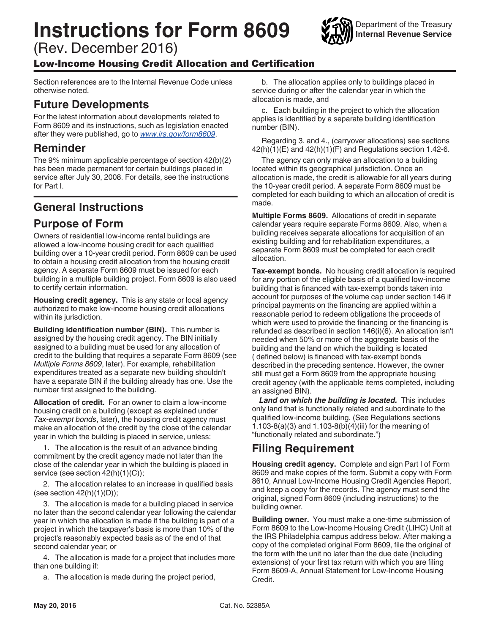# **Instructions for Form 8609**

(Rev. December 2016)

#### Low-Income Housing Credit Allocation and Certification

Section references are to the Internal Revenue Code unless otherwise noted.

#### **Future Developments**

For the latest information about developments related to Form 8609 and its instructions, such as legislation enacted after they were published, go to *[www.irs.gov/form8609](https://www.irs.gov/form8609)*.

### **Reminder**

The 9% minimum applicable percentage of section 42(b)(2) has been made permanent for certain buildings placed in service after July 30, 2008. For details, see the instructions for Part I.

# **General Instructions**

# **Purpose of Form**

Owners of residential low-income rental buildings are allowed a low-income housing credit for each qualified building over a 10-year credit period. Form 8609 can be used to obtain a housing credit allocation from the housing credit agency. A separate Form 8609 must be issued for each building in a multiple building project. Form 8609 is also used to certify certain information.

**Housing credit agency.** This is any state or local agency authorized to make low-income housing credit allocations within its jurisdiction.

**Building identification number (BIN).** This number is assigned by the housing credit agency. The BIN initially assigned to a building must be used for any allocation of credit to the building that requires a separate Form 8609 (see *Multiple Forms 8609*, later). For example, rehabilitation expenditures treated as a separate new building shouldn't have a separate BIN if the building already has one. Use the number first assigned to the building.

**Allocation of credit.** For an owner to claim a low-income housing credit on a building (except as explained under *Tax-exempt bonds*, later), the housing credit agency must make an allocation of the credit by the close of the calendar year in which the building is placed in service, unless:

1. The allocation is the result of an advance binding commitment by the credit agency made not later than the close of the calendar year in which the building is placed in service (see section 42(h)(1)(C));

2. The allocation relates to an increase in qualified basis (see section 42(h)(1)(D));

3. The allocation is made for a building placed in service no later than the second calendar year following the calendar year in which the allocation is made if the building is part of a project in which the taxpayer's basis is more than 10% of the project's reasonably expected basis as of the end of that second calendar year; or

4. The allocation is made for a project that includes more than one building if:

a. The allocation is made during the project period,

b. The allocation applies only to buildings placed in service during or after the calendar year in which the allocation is made, and

Department of the Treasury **Internal Revenue Service**

c. Each building in the project to which the allocation applies is identified by a separate building identification number (BIN).

Regarding 3. and 4., (carryover allocations) see sections  $42(h)(1)(E)$  and  $42(h)(1)(F)$  and Regulations section 1.42-6.

The agency can only make an allocation to a building located within its geographical jurisdiction. Once an allocation is made, the credit is allowable for all years during the 10-year credit period. A separate Form 8609 must be completed for each building to which an allocation of credit is made.

**Multiple Forms 8609.** Allocations of credit in separate calendar years require separate Forms 8609. Also, when a building receives separate allocations for acquisition of an existing building and for rehabilitation expenditures, a separate Form 8609 must be completed for each credit allocation.

**Tax-exempt bonds.** No housing credit allocation is required for any portion of the eligible basis of a qualified low-income building that is financed with tax-exempt bonds taken into account for purposes of the volume cap under section 146 if principal payments on the financing are applied within a reasonable period to redeem obligations the proceeds of which were used to provide the financing or the financing is refunded as described in section 146(i)(6). An allocation isn't needed when 50% or more of the aggregate basis of the building and the land on which the building is located ( defined below) is financed with tax-exempt bonds described in the preceding sentence. However, the owner still must get a Form 8609 from the appropriate housing credit agency (with the applicable items completed, including an assigned BIN).

*Land on which the building is located.* This includes only land that is functionally related and subordinate to the qualified low-income building. (See Regulations sections 1.103-8(a)(3) and 1.103-8(b)(4)(iii) for the meaning of "functionally related and subordinate.")

# **Filing Requirement**

**Housing credit agency.** Complete and sign Part I of Form 8609 and make copies of the form. Submit a copy with Form 8610, Annual Low-Income Housing Credit Agencies Report, and keep a copy for the records. The agency must send the original, signed Form 8609 (including instructions) to the building owner.

**Building owner.** You must make a one-time submission of Form 8609 to the Low-Income Housing Credit (LIHC) Unit at the IRS Philadelphia campus address below. After making a copy of the completed original Form 8609, file the original of the form with the unit no later than the due date (including extensions) of your first tax return with which you are filing Form 8609-A, Annual Statement for Low-Income Housing Credit.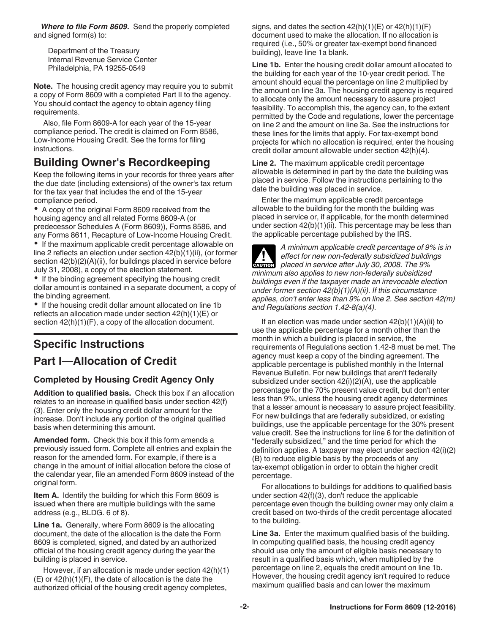*Where to file Form 8609.* Send the properly completed and signed form(s) to:

Department of the Treasury Internal Revenue Service Center Philadelphia, PA 19255-0549

**Note.** The housing credit agency may require you to submit a copy of Form 8609 with a completed Part II to the agency. You should contact the agency to obtain agency filing requirements.

Also, file Form 8609-A for each year of the 15-year compliance period. The credit is claimed on Form 8586, Low-Income Housing Credit. See the forms for filing instructions.

# **Building Owner's Recordkeeping**

Keep the following items in your records for three years after the due date (including extensions) of the owner's tax return for the tax year that includes the end of the 15-year compliance period.

A copy of the original Form 8609 received from the housing agency and all related Forms 8609-A (or predecessor Schedules A (Form 8609)), Forms 8586, and any Forms 8611, Recapture of Low-Income Housing Credit.

• If the maximum applicable credit percentage allowable on line 2 reflects an election under section 42(b)(1)(ii), (or former section  $42(b)(2)(A)(ii)$ , for buildings placed in service before July 31, 2008), a copy of the election statement.

• If the binding agreement specifying the housing credit dollar amount is contained in a separate document, a copy of the binding agreement.

• If the housing credit dollar amount allocated on line 1b reflects an allocation made under section 42(h)(1)(E) or section  $42(h)(1)(F)$ , a copy of the allocation document.

# **Specific Instructions Part I—Allocation of Credit**

#### **Completed by Housing Credit Agency Only**

**Addition to qualified basis.** Check this box if an allocation relates to an increase in qualified basis under section 42(f) (3). Enter only the housing credit dollar amount for the increase. Don't include any portion of the original qualified basis when determining this amount.

**Amended form.** Check this box if this form amends a previously issued form. Complete all entries and explain the reason for the amended form. For example, if there is a change in the amount of initial allocation before the close of the calendar year, file an amended Form 8609 instead of the original form.

**Item A.** Identify the building for which this Form 8609 is issued when there are multiple buildings with the same address (e.g., BLDG. 6 of 8).

**Line 1a.** Generally, where Form 8609 is the allocating document, the date of the allocation is the date the Form 8609 is completed, signed, and dated by an authorized official of the housing credit agency during the year the building is placed in service.

However, if an allocation is made under section 42(h)(1) (E) or 42(h)(1)(F), the date of allocation is the date the authorized official of the housing credit agency completes,

signs, and dates the section  $42(h)(1)(E)$  or  $42(h)(1)(F)$ document used to make the allocation. If no allocation is required (i.e., 50% or greater tax-exempt bond financed building), leave line 1a blank.

Line 1b. Enter the housing credit dollar amount allocated to the building for each year of the 10-year credit period. The amount should equal the percentage on line 2 multiplied by the amount on line 3a. The housing credit agency is required to allocate only the amount necessary to assure project feasibility. To accomplish this, the agency can, to the extent permitted by the Code and regulations, lower the percentage on line 2 and the amount on line 3a. See the instructions for these lines for the limits that apply. For tax-exempt bond projects for which no allocation is required, enter the housing credit dollar amount allowable under section 42(h)(4).

**Line 2.** The maximum applicable credit percentage allowable is determined in part by the date the building was placed in service. Follow the instructions pertaining to the date the building was placed in service.

Enter the maximum applicable credit percentage allowable to the building for the month the building was placed in service or, if applicable, for the month determined under section 42(b)(1)(ii). This percentage may be less than the applicable percentage published by the IRS.

*A minimum applicable credit percentage of 9% is in effect for new non-federally subsidized buildings*  **Placed in service after July 30, 2008. The 9% <b>placed in service after July 30, 2008. The 9%** *minimum also applies to new non-federally subsidized buildings even if the taxpayer made an irrevocable election under former section 42(b)(1)(A)(ii). If this circumstance applies, don't enter less than 9% on line 2. See section 42(m) and Regulations section 1.42-8(a)(4).*

If an election was made under section  $42(b)(1)(A)(ii)$  to use the applicable percentage for a month other than the month in which a building is placed in service, the requirements of Regulations section 1.42-8 must be met. The agency must keep a copy of the binding agreement. The applicable percentage is published monthly in the Internal Revenue Bulletin. For new buildings that aren't federally subsidized under section 42(i)(2)(A), use the applicable percentage for the 70% present value credit, but don't enter less than 9%, unless the housing credit agency determines that a lesser amount is necessary to assure project feasibility. For new buildings that are federally subsidized, or existing buildings, use the applicable percentage for the 30% present value credit. See the instructions for line 6 for the definition of "federally subsidized," and the time period for which the definition applies. A taxpayer may elect under section 42(i)(2) (B) to reduce eligible basis by the proceeds of any tax-exempt obligation in order to obtain the higher credit percentage.

For allocations to buildings for additions to qualified basis under section 42(f)(3), don't reduce the applicable percentage even though the building owner may only claim a credit based on two-thirds of the credit percentage allocated to the building.

**Line 3a.** Enter the maximum qualified basis of the building. In computing qualified basis, the housing credit agency should use only the amount of eligible basis necessary to result in a qualified basis which, when multiplied by the percentage on line 2, equals the credit amount on line 1b. However, the housing credit agency isn't required to reduce maximum qualified basis and can lower the maximum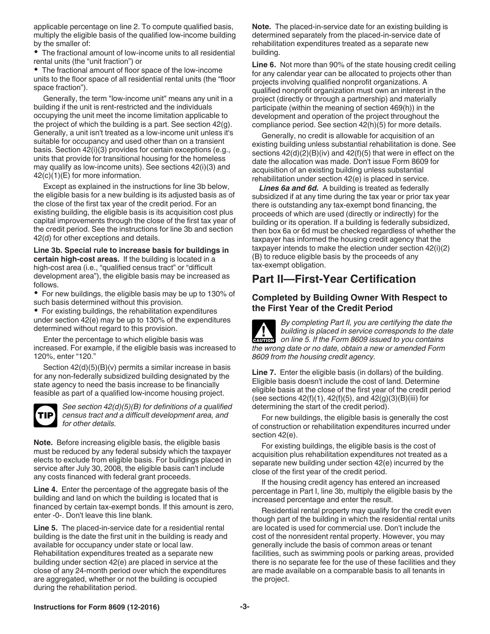applicable percentage on line 2. To compute qualified basis, multiply the eligible basis of the qualified low-income building by the smaller of:

The fractional amount of low-income units to all residential rental units (the "unit fraction") or

The fractional amount of floor space of the low-income units to the floor space of all residential rental units (the "floor space fraction").

Generally, the term "low-income unit" means any unit in a building if the unit is rent-restricted and the individuals occupying the unit meet the income limitation applicable to the project of which the building is a part. See section 42(g). Generally, a unit isn't treated as a low-income unit unless it's suitable for occupancy and used other than on a transient basis. Section 42(i)(3) provides for certain exceptions (e.g., units that provide for transitional housing for the homeless may qualify as low-income units). See sections 42(i)(3) and 42(c)(1)(E) for more information.

Except as explained in the instructions for line 3b below, the eligible basis for a new building is its adjusted basis as of the close of the first tax year of the credit period. For an existing building, the eligible basis is its acquisition cost plus capital improvements through the close of the first tax year of the credit period. See the instructions for line 3b and section 42(d) for other exceptions and details.

**Line 3b. Special rule to increase basis for buildings in certain high-cost areas.** If the building is located in a high-cost area (i.e., "qualified census tract" or "difficult" development area"), the eligible basis may be increased as follows.

For new buildings, the eligible basis may be up to 130% of such basis determined without this provision.

For existing buildings, the rehabilitation expenditures under section 42(e) may be up to 130% of the expenditures determined without regard to this provision.

Enter the percentage to which eligible basis was increased. For example, if the eligible basis was increased to 120%, enter "120."

Section 42(d)(5)(B)(v) permits a similar increase in basis for any non-federally subsidized building designated by the state agency to need the basis increase to be financially feasible as part of a qualified low-income housing project.



*See section 42(d)(5)(B) for definitions of a qualified census tract and a difficult development area, and for other details.*

**Note.** Before increasing eligible basis, the eligible basis must be reduced by any federal subsidy which the taxpayer elects to exclude from eligible basis. For buildings placed in service after July 30, 2008, the eligible basis can't include any costs financed with federal grant proceeds.

**Line 4.** Enter the percentage of the aggregate basis of the building and land on which the building is located that is financed by certain tax-exempt bonds. If this amount is zero, enter -0-. Don't leave this line blank.

**Line 5.** The placed-in-service date for a residential rental building is the date the first unit in the building is ready and available for occupancy under state or local law. Rehabilitation expenditures treated as a separate new building under section 42(e) are placed in service at the close of any 24-month period over which the expenditures are aggregated, whether or not the building is occupied during the rehabilitation period.

**Note.** The placed-in-service date for an existing building is determined separately from the placed-in-service date of rehabilitation expenditures treated as a separate new building.

**Line 6.** Not more than 90% of the state housing credit ceiling for any calendar year can be allocated to projects other than projects involving qualified nonprofit organizations. A qualified nonprofit organization must own an interest in the project (directly or through a partnership) and materially participate (within the meaning of section 469(h)) in the development and operation of the project throughout the compliance period. See section 42(h)(5) for more details.

Generally, no credit is allowable for acquisition of an existing building unless substantial rehabilitation is done. See sections  $42(d)(2)(B)(iv)$  and  $42(f)(5)$  that were in effect on the date the allocation was made. Don't issue Form 8609 for acquisition of an existing building unless substantial rehabilitation under section 42(e) is placed in service.

*Lines 6a and 6d.* A building is treated as federally subsidized if at any time during the tax year or prior tax year there is outstanding any tax-exempt bond financing, the proceeds of which are used (directly or indirectly) for the building or its operation. If a building is federally subsidized, then box 6a or 6d must be checked regardless of whether the taxpayer has informed the housing credit agency that the taxpayer intends to make the election under section 42(i)(2) (B) to reduce eligible basis by the proceeds of any tax-exempt obligation.

# **Part II—First-Year Certification**

#### **Completed by Building Owner With Respect to the First Year of the Credit Period**

*By completing Part II, you are certifying the date the building is placed in service corresponds to the date*  **building is placed in service corresponds to the data on line 5. If the Form 8609 issued to you contains** *the wrong date or no date, obtain a new or amended Form 8609 from the housing credit agency.*

**Line 7.** Enter the eligible basis (in dollars) of the building. Eligible basis doesn't include the cost of land. Determine eligible basis at the close of the first year of the credit period (see sections  $42(f)(1)$ ,  $42(f)(5)$ , and  $42(g)(3)(B)(iii)$  for determining the start of the credit period).

For new buildings, the eligible basis is generally the cost of construction or rehabilitation expenditures incurred under section 42(e).

For existing buildings, the eligible basis is the cost of acquisition plus rehabilitation expenditures not treated as a separate new building under section 42(e) incurred by the close of the first year of the credit period.

If the housing credit agency has entered an increased percentage in Part I, line 3b, multiply the eligible basis by the increased percentage and enter the result.

Residential rental property may qualify for the credit even though part of the building in which the residential rental units are located is used for commercial use. Don't include the cost of the nonresident rental property. However, you may generally include the basis of common areas or tenant facilities, such as swimming pools or parking areas, provided there is no separate fee for the use of these facilities and they are made available on a comparable basis to all tenants in the project.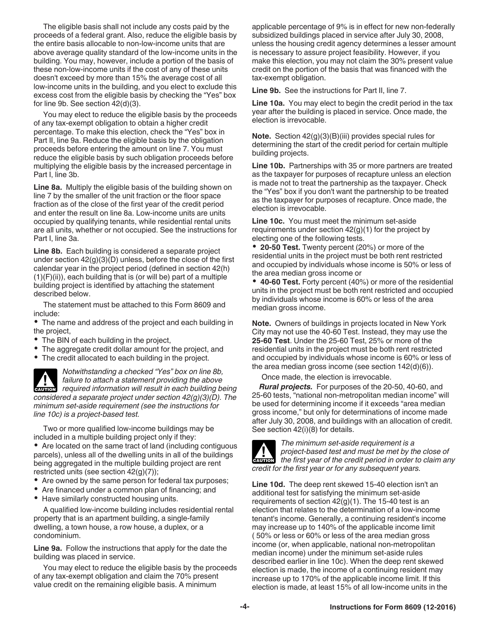The eligible basis shall not include any costs paid by the proceeds of a federal grant. Also, reduce the eligible basis by the entire basis allocable to non-low-income units that are above average quality standard of the low-income units in the building. You may, however, include a portion of the basis of these non-low-income units if the cost of any of these units doesn't exceed by more than 15% the average cost of all low-income units in the building, and you elect to exclude this excess cost from the eligible basis by checking the "Yes" box for line 9b. See section 42(d)(3).

You may elect to reduce the eligible basis by the proceeds of any tax-exempt obligation to obtain a higher credit percentage. To make this election, check the "Yes" box in Part II, line 9a. Reduce the eligible basis by the obligation proceeds before entering the amount on line 7. You must reduce the eligible basis by such obligation proceeds before multiplying the eligible basis by the increased percentage in Part I, line 3b.

**Line 8a.** Multiply the eligible basis of the building shown on line 7 by the smaller of the unit fraction or the floor space fraction as of the close of the first year of the credit period and enter the result on line 8a. Low-income units are units occupied by qualifying tenants, while residential rental units are all units, whether or not occupied. See the instructions for Part I, line 3a.

**Line 8b.** Each building is considered a separate project under section 42(g)(3)(D) unless, before the close of the first calendar year in the project period (defined in section 42(h)  $(1)(F)(ii)$ , each building that is (or will be) part of a multiple building project is identified by attaching the statement described below.

The statement must be attached to this Form 8609 and include:

The name and address of the project and each building in the project,

- The BIN of each building in the project,
- The aggregate credit dollar amount for the project, and
- The credit allocated to each building in the project.

*Notwithstanding a checked "Yes" box on line 8b, failure to attach a statement providing the above required information will result in each building being information will result in each building being considered a separate project under section 42(g)(3)(D). The minimum set-aside requirement (see the instructions for line 10c) is a project-based test.*

Two or more qualified low-income buildings may be included in a multiple building project only if they:

Are located on the same tract of land (including contiguous parcels), unless all of the dwelling units in all of the buildings being aggregated in the multiple building project are rent restricted units (see section 42(g)(7));

- Are owned by the same person for federal tax purposes;
- Are financed under a common plan of financing; and
- Have similarly constructed housing units.

A qualified low-income building includes residential rental property that is an apartment building, a single-family dwelling, a town house, a row house, a duplex, or a condominium.

**Line 9a.** Follow the instructions that apply for the date the building was placed in service.

You may elect to reduce the eligible basis by the proceeds of any tax-exempt obligation and claim the 70% present value credit on the remaining eligible basis. A minimum

applicable percentage of 9% is in effect for new non-federally subsidized buildings placed in service after July 30, 2008, unless the housing credit agency determines a lesser amount is necessary to assure project feasibility. However, if you make this election, you may not claim the 30% present value credit on the portion of the basis that was financed with the tax-exempt obligation.

**Line 9b.** See the instructions for Part II, line 7.

**Line 10a.** You may elect to begin the credit period in the tax year after the building is placed in service. Once made, the election is irrevocable.

**Note.** Section 42(g)(3)(B)(iii) provides special rules for determining the start of the credit period for certain multiple building projects.

**Line 10b.** Partnerships with 35 or more partners are treated as the taxpayer for purposes of recapture unless an election is made not to treat the partnership as the taxpayer. Check the "Yes" box if you don't want the partnership to be treated as the taxpayer for purposes of recapture. Once made, the election is irrevocable.

**Line 10c.** You must meet the minimum set-aside requirements under section  $42<sub>(g)</sub>(1)$  for the project by electing one of the following tests.

**20-50 Test.** Twenty percent (20%) or more of the residential units in the project must be both rent restricted and occupied by individuals whose income is 50% or less of the area median gross income or

**40-60 Test.** Forty percent (40%) or more of the residential units in the project must be both rent restricted and occupied by individuals whose income is 60% or less of the area median gross income.

**Note.** Owners of buildings in projects located in New York City may not use the 40-60 Test. Instead, they may use the **25-60 Test**. Under the 25-60 Test, 25% or more of the residential units in the project must be both rent restricted and occupied by individuals whose income is 60% or less of the area median gross income (see section 142(d)(6)).

Once made, the election is irrevocable.

*Rural projects.* For purposes of the 20-50, 40-60, and 25-60 tests, "national non-metropolitan median income" will be used for determining income if it exceeds "area median gross income," but only for determinations of income made after July 30, 2008, and buildings with an allocation of credit. See section 42(i)(8) for details.



*The minimum set-aside requirement is a project-based test and must be met by the close of the first year of the credit period in order to claim any credit for the first year or for any subsequent years.*

**Line 10d.** The deep rent skewed 15-40 election isn't an additional test for satisfying the minimum set-aside requirements of section  $42(g)(1)$ . The 15-40 test is an election that relates to the determination of a low-income tenant's income. Generally, a continuing resident's income may increase up to 140% of the applicable income limit ( 50% or less or 60% or less of the area median gross income (or, when applicable, national non-metropolitan median income) under the minimum set-aside rules described earlier in line 10c). When the deep rent skewed election is made, the income of a continuing resident may increase up to 170% of the applicable income limit. If this election is made, at least 15% of all low-income units in the